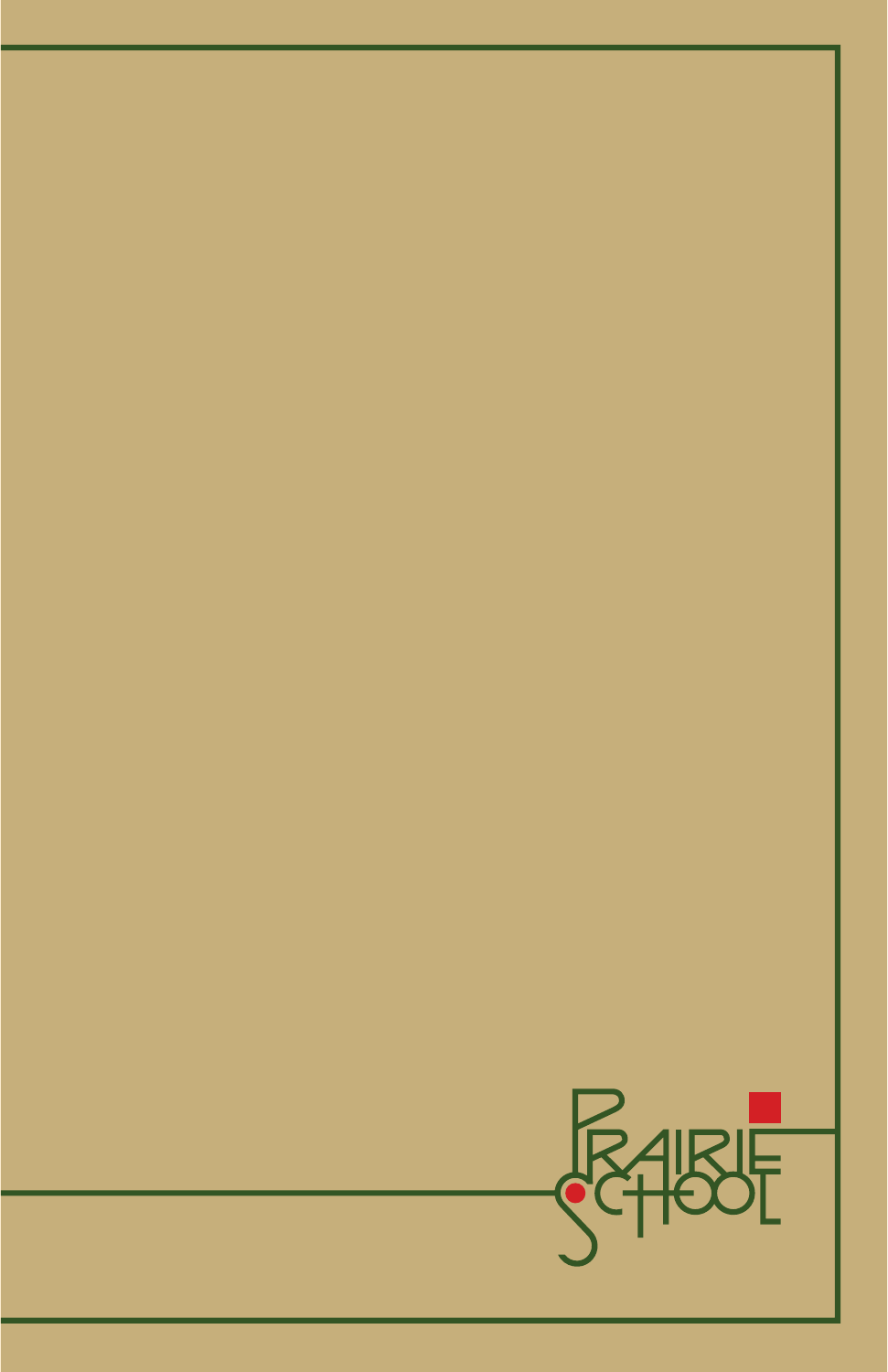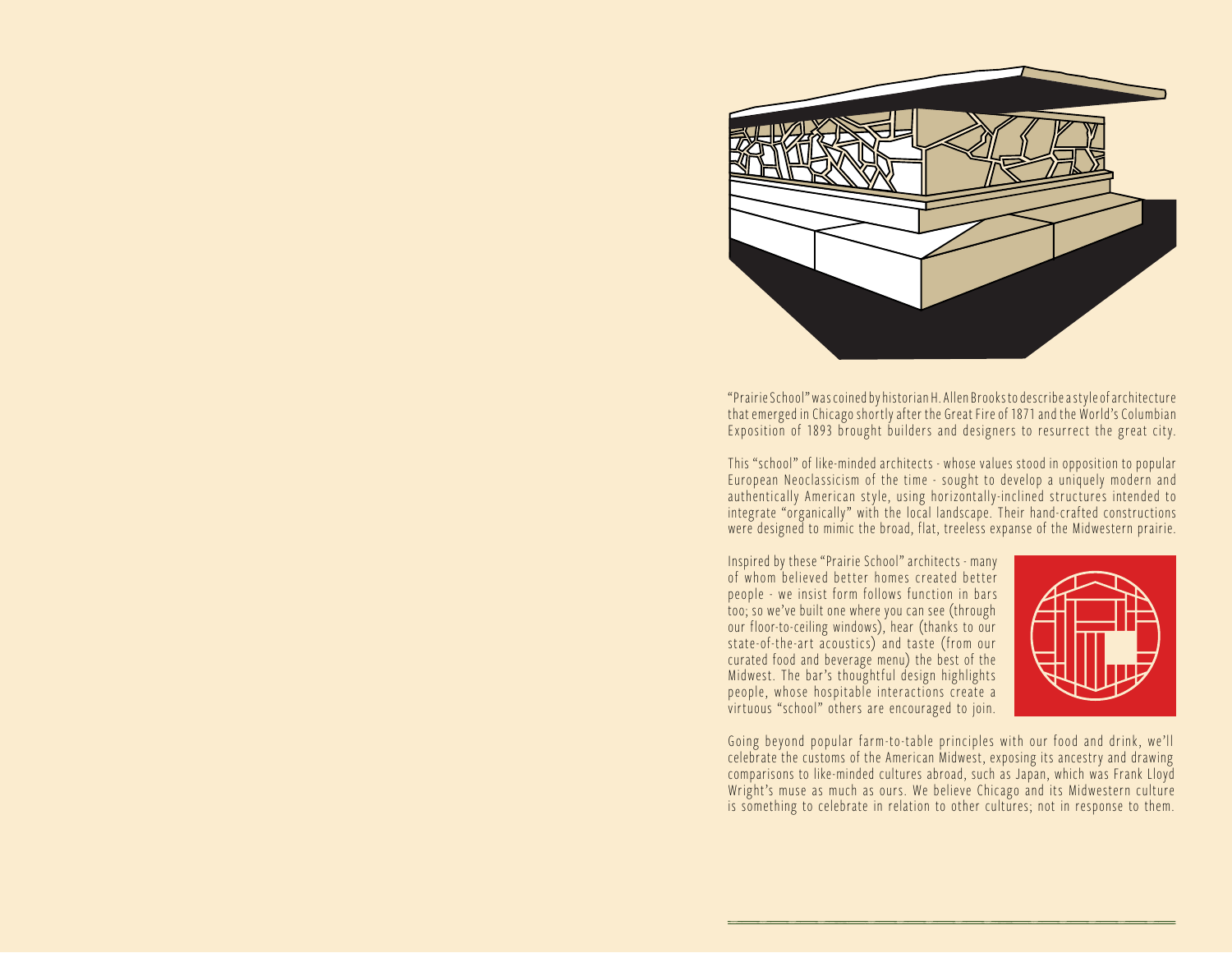

"Prairie School" was coined by historian H. Allen Brooks to describe a style of architecture that emerged in Chicago shortly after the Great Fire of 1871 and the World's Columbian Exposition of 1893 brought builders and designers to resurrect the great city.

This "school" of like-minded architects - whose values stood in opposition to popular European Neoclassicism of the time - sought to develop a uniquely modern and authentically American style, using horizontally-inclined structures intended to integrate "organically" with the local landscape. Their hand-crafted constructions were designed to mimic the broad, flat, treeless expanse of the Midwestern prairie.

Inspired by these "Prairie School" architects - many of whom believed better homes created better people - we insist form follows function in bars too; so we've built one where you can see (through our floor-to-ceiling windows), hear (thanks to our state-of-the-art acoustics) and taste (from our curated food and beverage menu) the best of the Midwest. The bar's thoughtful design highlights people, whose hospitable interactions create a virtuous "school" others are encouraged to join.



Going beyond popular farm-to -table principles with our food and drink, we'll celebrate the customs of the American Midwest, exposing its ancestry and drawing comparisons to like-minded cultures abroad, such as Japan, which was Frank Lloyd Wright's muse as much as ours. We believe Chicago and its Midwestern culture is something to celebrate in relation to other cultures; not in response to them.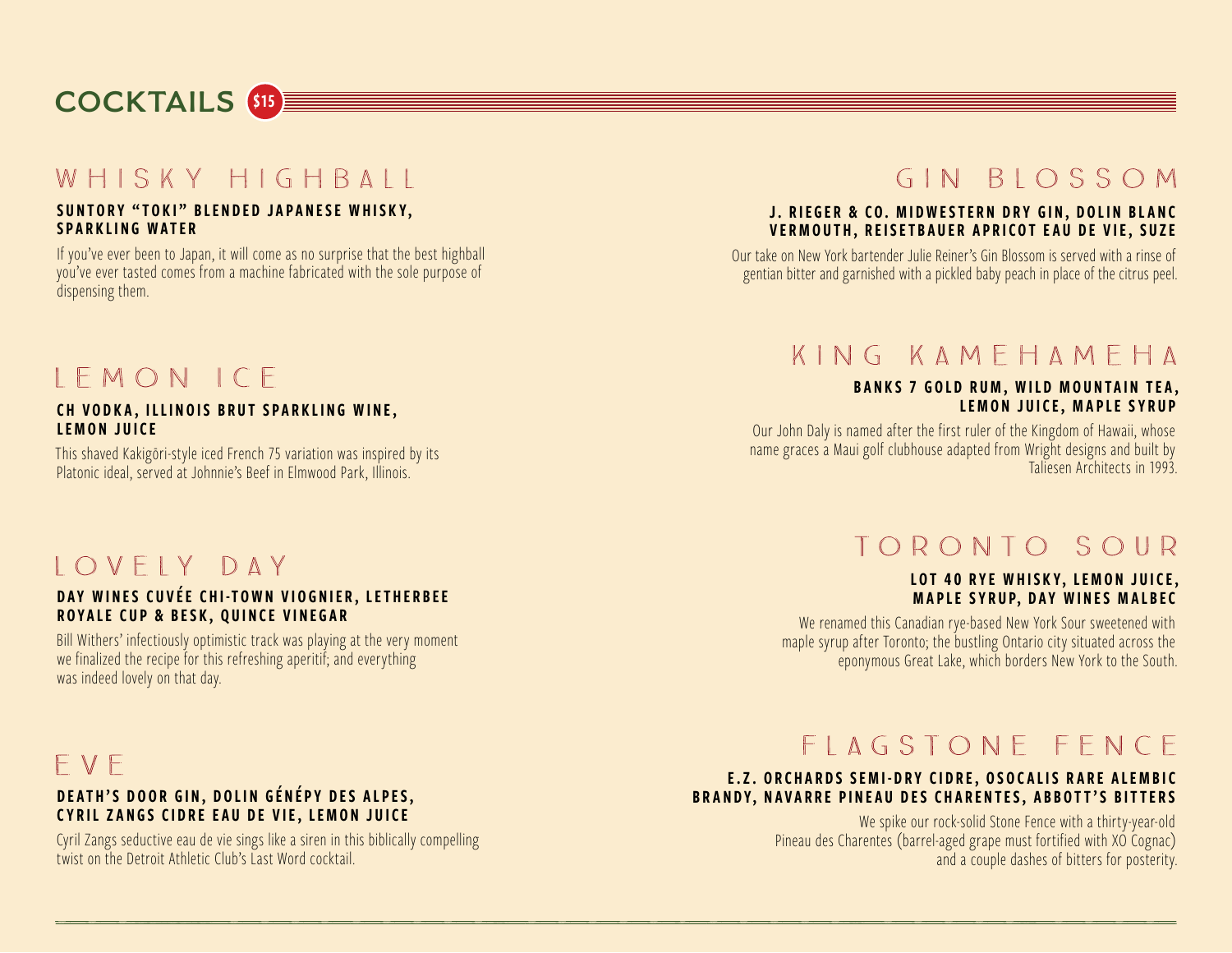# **COCKTAILS** \$15

### WHISKY HIGHBALL

#### SUNTORY "TOKI" BLENDED JAPANESE WHISKY, SPARKLING WATER

If you've ever been to Japan, it will come as no surprise that the best highball you've ever tasted comes from a machine fabricated with the sole purpose of dispensing them.

# GIN BIOSSOM

#### J. RIEGER & CO. MIDWESTERN DRY GIN, DOLIN BLANC VERMOUTH, REISETBAUER APRICOT EAU DE VIE, SUZE

Our take on New York bartender Julie Reiner's Gin Blossom is served with a rinse of gentian bitter and garnished with a pickled baby peach in place of the citrus peel.

# $IFMONICE$

#### CH VODKA, ILLINOIS BRUT SPARKLING WINE, LEMON JUICE

This shaved Kakigōri-style iced French 75 variation was inspired by its Platonic ideal, served at Johnnie's Beef in Elmwood Park, Illinois.

## KING KAMFHAMFHA

#### BANKS 7 GOLD RUM, WILD MOUNTAIN TEA, LEMON JUICE, MAPLE SYRUP

Our John Daly is named after the first ruler of the Kingdom of Hawaii, whose name graces a Maui golf clubhouse adapted from Wright designs and built by Taliesen Architects in 1993.

### IOVEIY DAY

#### DAY WINES CUVÉE CHI-TOWN VIOGNIER, LETHERBEE ROYALE CUP & BESK, QUINCE VINEGAR

Bill Withers' infectiously optimistic track was playing at the very moment we finalized the recipe for this refreshing aperitif; and everything was indeed lovely on that day.

# FVF

#### DEATH'S DOOR GIN, DOLIN GÉNÉPY DES ALPES, CYRIL ZANGS CIDRE EAU DE VIE, LEMON JUICE

Cyril Zangs seductive eau de vie sings like a siren in this biblically compelling twist on the Detroit Athletic Club's Last Word cocktail.

# TORONTO SOUR

#### LOT 40 RYE WHISKY, LEMON JUICE, **MAPLE SYRUP, DAY WINES MALBEC**

We renamed this Canadian rye-based New York Sour sweetened with maple syrup after Toronto; the bustling Ontario city situated across the eponymous Great Lake, which borders New York to the South.

# FIAGSTONE FENCE

#### E.Z. ORCHARDS SEMI-DRY CIDRE, OSOCALIS RARE ALEMBIC BRANDY, NAVARRE PINEAU DES CHARENTES, ABBOTT'S BITTERS

We spike our rock-solid Stone Fence with a thirty-year-old Pineau des Charentes (barrel-aged grape must fortified with XO Cognac) and a couple dashes of bitters for posterity.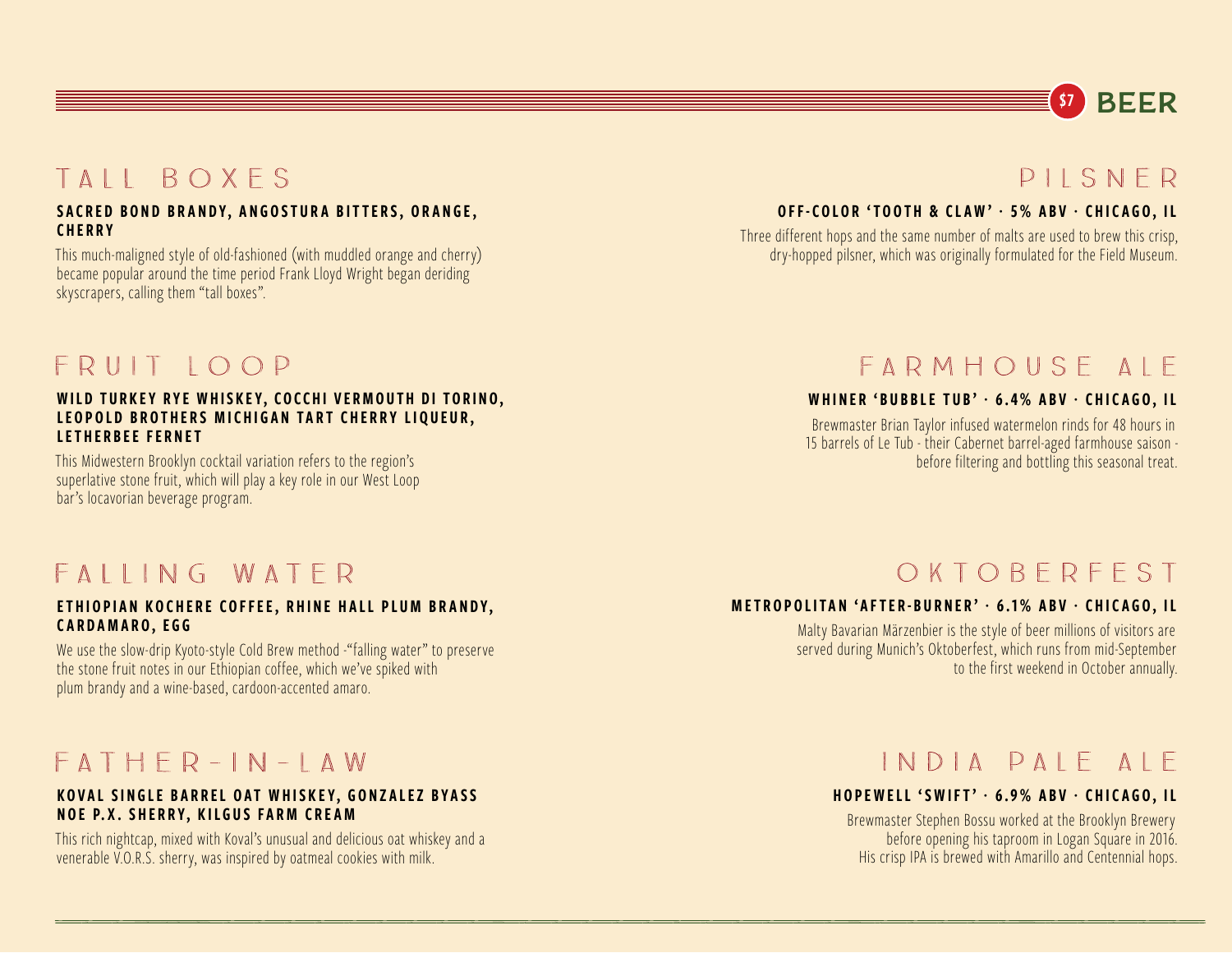# \$7 **BEER**

# TAII ROXES

#### SACRED BOND BRANDY, ANGOSTURA BITTERS, ORANGE, **CHERRY**

This much-maligned style of old-fashioned (with muddled orange and cherry) became popular around the time period Frank Lloyd Wright began deriding skyscrapers, calling them "tall boxes".

### FRUIT IOOP

#### WILD TURKEY RYE WHISKEY, COCCHI VERMOUTH DI TORINO, LEOPOLD BROTHERS MICHIGAN TART CHERRY LIQUEUR, LETHERBEE FERNET

This Midwestern Brooklyn cocktail variation refers to the region's superlative stone fruit, which will play a key role in our West Loop bar's locavorian beverage program.

### FAILING WATER

#### ETHIOPIAN KOCHERE COFFEE, RHINE HALL PLUM BRANDY, CARDAMARO, EGG

We use the slow-drip Kyoto-style Cold Brew method -"falling water" to preserve the stone fruit notes in our Ethiopian coffee, which we've spiked with plum brandy and a wine-based, cardoon-accented amaro.

### $FATHFR-HN-HAW$

#### KOVAL SINGLE BARREL OAT WHISKEY, GONZALEZ BYASS NOE P.X. SHERRY, KILGUS FARM CREAM

This rich nightcap, mixed with Koval's unusual and delicious oat whiskey and a venerable V.O.R.S. sherry, was inspired by oatmeal cookies with milk.

### $PII$  SNFR

#### OFF-COLOR 'TOOTH & CLAW' **·** 5% ABV **·** CHICAGO, IL

Three different hops and the same number of malts are used to brew this crisp, dry-hopped pilsner, which was originally formulated for the Field Museum.

## FARMHOUSE AIF

#### WHINER 'BUBBLE TUB' **·** 6.4% ABV **·** CHICAGO, IL

Brewmaster Brian Taylor infused watermelon rinds for 48 hours in 15 barrels of Le Tub - their Cabernet barrel-aged farmhouse saison before filtering and bottling this seasonal treat.

### OKTOBERFEST

#### METROPOLITAN 'AFTER-BURNER' **·** 6.1% ABV **·** CHICAGO, IL

Malty Bavarian Märzenbier is the style of beer millions of visitors are served during Munich's Oktoberfest, which runs from mid-September to the first weekend in October annually.

### INDIA PAIF AIF

#### **HOPEWELL 'SWIFT' · 6.9% ABV · CHICAGO, IL**

Brewmaster Stephen Bossu worked at the Brooklyn Brewery before opening his taproom in Logan Square in 2016. His crisp IPA is brewed with Amarillo and Centennial hops.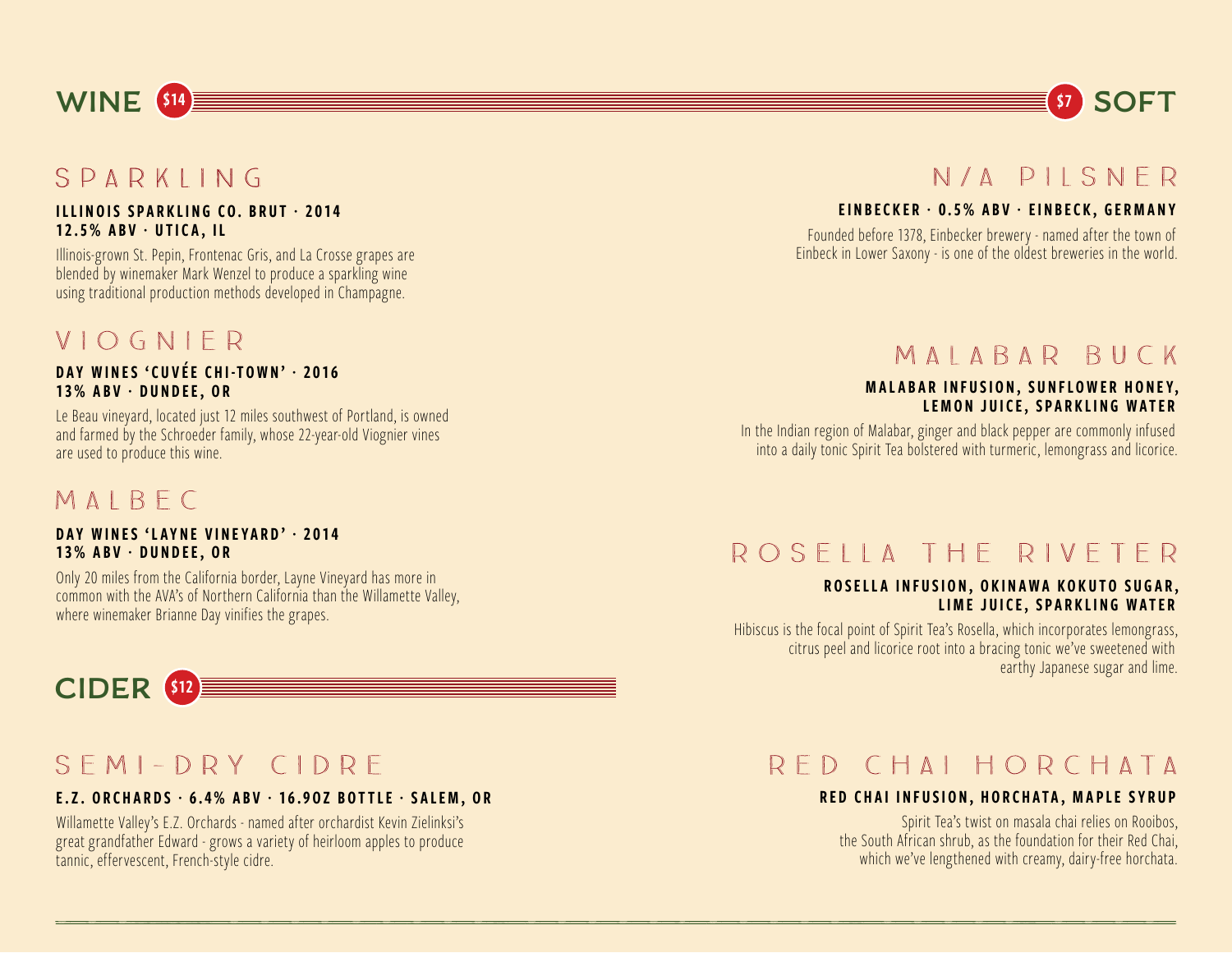# $SPARKING$

**WINE** \$14

#### ILLINOIS SPARKLING CO. BRUT **·** 2014 12.5% ABV **·** UTICA, IL

Illinois-grown St. Pepin, Frontenac Gris, and La Crosse grapes are blended by winemaker Mark Wenzel to produce a sparkling wine using traditional production methods developed in Champagne.

### VIOGNIFR

#### DAY WINES 'CUVÉE CHI-TOWN' · 2016 13% ABV · DUNDEE, OR

Le Beau vineyard, located just 12 miles southwest of Portland, is owned and farmed by the Schroeder family, whose 22-year-old Viognier vines are used to produce this wine.

### MAIRFC

#### DAY WINES 'LAYNE VINEYARD' **·** 2014 13% ABV · DUNDEE, OR

Only 20 miles from the California border, Layne Vineyard has more in common with the AVA's of Northern California than the Willamette Valley, where winemaker Brianne Day vinifies the grapes.



# $SFM$ -DRY CIDRE

#### E.Z. ORCHARDS **·** 6.4% ABV **·** 16.9OZ BOTTLE **·** SALEM, OR

Willamette Valley's E.Z. Orchards - named after orchardist Kevin Zielinksi's great grandfather Edward - grows a variety of heirloom apples to produce tannic, effervescent, French-style cidre.

### N/A PILSNER

#### EINBECKER **·** 0.5% ABV **·** EINBECK, GERMANY

Founded before 1378, Einbecker brewery - named after the town of Einbeck in Lower Saxony - is one of the oldest breweries in the world.

### MAIABAR BUCK

#### MALABAR INFUSION, SUNFLOWER HONEY, LEMON JUICE, SPARKLING WATER

In the Indian region of Malabar, ginger and black pepper are commonly infused into a daily tonic Spirit Tea bolstered with turmeric, lemongrass and licorice.

### ROSELLA THE RIVETER

#### ROSELLA INFUSION, OKINAWA KOKUTO SUGAR, LIME JUICE, SPARKLING WATER

Hibiscus is the focal point of Spirit Tea's Rosella, which incorporates lemongrass, citrus peel and licorice root into a bracing tonic we've sweetened with earthy Japanese sugar and lime.

### RED CHAI HORCHATA

#### RED CHAI INFUSION, HORCHATA, MAPLE SYRUP

Spirit Tea's twist on masala chai relies on Rooibos, the South African shrub, as the foundation for their Red Chai, which we've lengthened with creamy, dairy-free horchata.